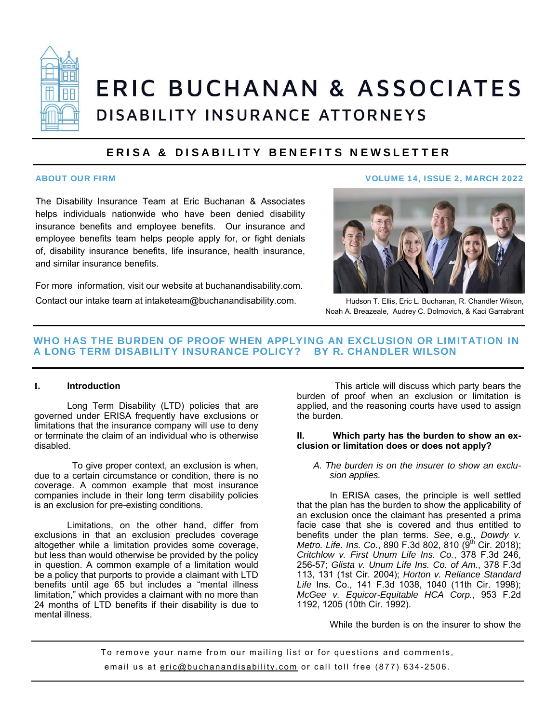

# **ERIC BUCHANAN & ASSOCIATES** DISABILITY INSURANCE ATTORNEYS

# ERISA & DISABILITY BENEFITS NEWSLETTER

The Disability Insurance Team at Eric Buchanan & Associates helps individuals nationwide who have been denied disability insurance benefits and employee benefits. Our insurance and employee benefits team helps people apply for, or fight denials of, disability insurance benefits, life insurance, health insurance, and similar insurance benefits.

For more information, visit our website at buchanandisability.com. Contact our intake team at intaketeam@buchanandisability.com.

### ABOUT OUR FIRM VOLUME 14, ISSUE 2, MARCH 2022



Hudson T. Ellis, Eric L. Buchanan, R. Chandler Wilson, Noah A. Breazeale, Audrey C. Dolmovich, & Kaci Garrabrant

# WHO HAS THE BURDEN OF PROOF WHEN APPLYING AN EXCLUSION OR LIMITATION IN A LONG TERM DISABILITY INSURANCE POLICY? BY R. CHANDLER WILSON

# **I. Introduction**

Long Term Disability (LTD) policies that are governed under ERISA frequently have exclusions or limitations that the insurance company will use to deny or terminate the claim of an individual who is otherwise disabled.

 To give proper context, an exclusion is when, due to a certain circumstance or condition, there is no coverage. A common example that most insurance companies include in their long term disability policies is an exclusion for pre-existing conditions.

Limitations, on the other hand, differ from exclusions in that an exclusion precludes coverage altogether while a limitation provides some coverage, but less than would otherwise be provided by the policy in question. A common example of a limitation would be a policy that purports to provide a claimant with LTD benefits until age 65 but includes a "mental illness limitation," which provides a claimant with no more than 24 months of LTD benefits if their disability is due to mental illness.

 This article will discuss which party bears the burden of proof when an exclusion or limitation is applied, and the reasoning courts have used to assign the burden.

### **II. Which party has the burden to show an exclusion or limitation does or does not apply?**

*A. The burden is on the insurer to show an exclusion applies.* 

 In ERISA cases, the principle is well settled that the plan has the burden to show the applicability of an exclusion once the claimant has presented a prima facie case that she is covered and thus entitled to benefits under the plan terms. *See*, e.g., *Dowdy v. Metro. Life. Ins. Co.*, 890 F.3d 802, 810 (9<sup>th</sup> Cir. 2018); *Critchlow v. First Unum Life Ins. Co.*, 378 F.3d 246, 256-57; *Glista v. Unum Life Ins. Co. of Am.*, 378 F.3d 113, 131 (1st Cir. 2004); *Horton v. Reliance Standard Life* Ins. Co., 141 F.3d 1038, 1040 (11th Cir. 1998); *McGee v. Equicor-Equitable HCA Corp.*, 953 F.2d 1192, 1205 (10th Cir. 1992).

While the burden is on the insurer to show the

To remove your name from our mailing list or for questions and comments, email us at eric@buchanandisability.com or call toll free (877) 634-2506.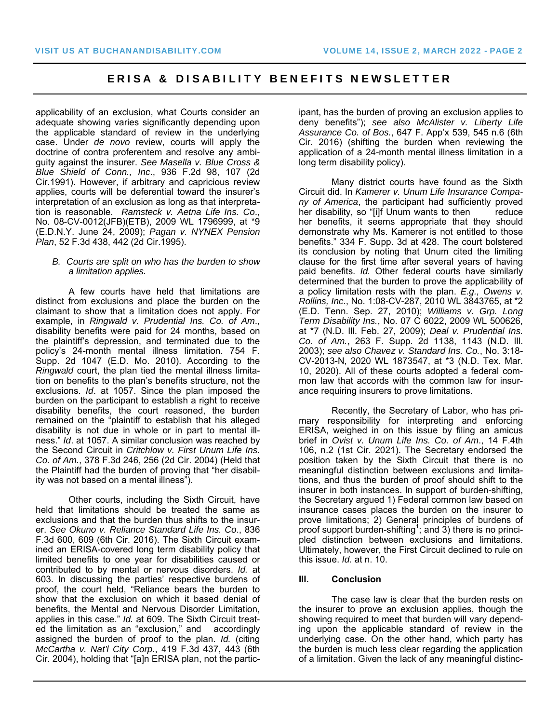# ERISA & DISABILITY BENEFITS NEWSLETTER

applicability of an exclusion, what Courts consider an adequate showing varies significantly depending upon the applicable standard of review in the underlying case. Under *de novo* review, courts will apply the doctrine of contra proferentem and resolve any ambiguity against the insurer. *See Masella v. Blue Cross & Blue Shield of Conn., Inc*., 936 F.2d 98, 107 (2d Cir.1991). However, if arbitrary and capricious review applies, courts will be deferential toward the insurer's interpretation of an exclusion as long as that interpretation is reasonable. *Ramsteck v. Aetna Life Ins. Co*., No. 08-CV-0012(JFB)(ETB), 2009 WL 1796999, at \*9 (E.D.N.Y. June 24, 2009); *Pagan v. NYNEX Pension Plan*, 52 F.3d 438, 442 (2d Cir.1995).

### *B. Courts are split on who has the burden to show a limitation applies.*

A few courts have held that limitations are distinct from exclusions and place the burden on the claimant to show that a limitation does not apply. For example, in *Ringwald v. Prudential Ins. Co. of Am*., disability benefits were paid for 24 months, based on the plaintiff's depression, and terminated due to the policy's 24-month mental illness limitation. 754 F. Supp. 2d 1047 (E.D. Mo. 2010). According to the *Ringwald* court, the plan tied the mental illness limitation on benefits to the plan's benefits structure, not the exclusions. *Id*. at 1057. Since the plan imposed the burden on the participant to establish a right to receive disability benefits, the court reasoned, the burden remained on the "plaintiff to establish that his alleged disability is not due in whole or in part to mental illness." *Id*. at 1057. A similar conclusion was reached by the Second Circuit in *Critchlow v. First Unum Life Ins. Co. of Am.*, 378 F.3d 246, 256 (2d Cir. 2004) (Held that the Plaintiff had the burden of proving that "her disability was not based on a mental illness").

Other courts, including the Sixth Circuit, have held that limitations should be treated the same as exclusions and that the burden thus shifts to the insurer. *See Okuno v. Reliance Standard Life Ins. Co*., 836 F.3d 600, 609 (6th Cir. 2016). The Sixth Circuit examined an ERISA-covered long term disability policy that limited benefits to one year for disabilities caused or contributed to by mental or nervous disorders. *Id.* at 603. In discussing the parties' respective burdens of proof, the court held, "Reliance bears the burden to show that the exclusion on which it based denial of benefits, the Mental and Nervous Disorder Limitation, applies in this case." *Id.* at 609. The Sixth Circuit treated the limitation as an "exclusion," and accordingly assigned the burden of proof to the plan. *Id.* (citing *McCartha v. Nat'l City Corp*., 419 F.3d 437, 443 (6th Cir. 2004), holding that "[a]n ERISA plan, not the partic-

ipant, has the burden of proving an exclusion applies to deny benefits"); *see also McAlister v. Liberty Life Assurance Co. of Bos.*, 647 F. App'x 539, 545 n.6 (6th Cir. 2016) (shifting the burden when reviewing the application of a 24-month mental illness limitation in a long term disability policy).

Many district courts have found as the Sixth Circuit did. In *Kamerer v. Unum Life Insurance Company of America*, the participant had sufficiently proved her disability, so "[i]f Unum wants to then reduce her benefits, it seems appropriate that they should demonstrate why Ms. Kamerer is not entitled to those benefits." 334 F. Supp. 3d at 428. The court bolstered its conclusion by noting that Unum cited the limiting clause for the first time after several years of having paid benefits. *Id.* Other federal courts have similarly determined that the burden to prove the applicability of a policy limitation rests with the plan. *E.g., Owens v. Rollins, Inc*., No. 1:08-CV-287, 2010 WL 3843765, at \*2 (E.D. Tenn. Sep. 27, 2010); *Williams v. Grp. Long Term Disability Ins.*, No. 07 C 6022, 2009 WL 500626, at \*7 (N.D. Ill. Feb. 27, 2009); *Deal v. Prudential Ins. Co. of Am.*, 263 F. Supp. 2d 1138, 1143 (N.D. Ill. 2003); *see also Chavez v. Standard Ins. Co.*, No. 3:18- CV-2013-N, 2020 WL 1873547, at \*3 (N.D. Tex. Mar. 10, 2020). All of these courts adopted a federal common law that accords with the common law for insurance requiring insurers to prove limitations.

Recently, the Secretary of Labor, who has primary responsibility for interpreting and enforcing ERISA, weighed in on this issue by filing an amicus brief in *Ovist v. Unum Life Ins. Co. of Am*., 14 F.4th 106, n.2 (1st Cir. 2021). The Secretary endorsed the position taken by the Sixth Circuit that there is no meaningful distinction between exclusions and limitations, and thus the burden of proof should shift to the insurer in both instances. In support of burden-shifting, the Secretary argued 1) Federal common law based on insurance cases places the burden on the insurer to prove limitations; 2) General principles of burdens of proof support burden-shifting $^1$ ; and 3) there is no principled distinction between exclusions and limitations. Ultimately, however, the First Circuit declined to rule on this issue. *Id.* at n. 10.

# **III. Conclusion**

 The case law is clear that the burden rests on the insurer to prove an exclusion applies, though the showing required to meet that burden will vary depending upon the applicable standard of review in the underlying case. On the other hand, which party has the burden is much less clear regarding the application of a limitation. Given the lack of any meaningful distinc-